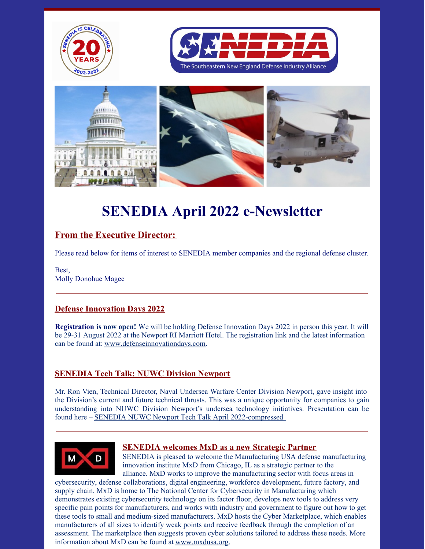

# **SENEDIA April 2022 e-Newsletter**

## **From the Executive Director:**

Please read below for items of interest to SENEDIA member companies and the regional defense cluster.

Best, Molly Donohue Magee

#### **Defense Innovation Days 2022**

**Registration is now open!** We will be holding Defense Innovation Days 2022 in person this year. It will be 29-31 August 2022 at the Newport RI Marriott Hotel. The registration link and the latest information can be found at: [www.defenseinnovationdays.com](http://www.defenseinnovationdays.com/).

#### **SENEDIA Tech Talk: NUWC Division Newport**

Mr. Ron Vien, Technical Director, Naval Undersea Warfare Center Division Newport, gave insight into the Division's current and future technical thrusts. This was a unique opportunity for companies to gain understanding into NUWC Division Newport's undersea technology initiatives. Presentation can be found here – SENEDIA NUWC Newport Tech Talk April [2022-compressed](https://www.senedia.org/wp-content/uploads/2022/04/SENEDIA-NUWC-Newport-Tech-Talk-April-2022-compressed.pdf)



#### **SENEDIA welcomes MxD as a new Strategic Partner**

SENEDIA is pleased to welcome the Manufacturing USA defense manufacturing innovation institute MxD from Chicago, IL as a strategic partner to the alliance. MxD works to improve the manufacturing sector with focus areas in

cybersecurity, defense collaborations, digital engineering, workforce development, future factory, and supply chain. MxD is home to The National Center for Cybersecurity in Manufacturing which demonstrates existing cybersecurity technology on its factor floor, develops new tools to address very specific pain points for manufacturers, and works with industry and government to figure out how to get these tools to small and medium-sized manufacturers. MxD hosts the Cyber Marketplace, which enables manufacturers of all sizes to identify weak points and receive feedback through the completion of an assessment. The marketplace then suggests proven cyber solutions tailored to address these needs. More information about MxD can be found at [www.mxdusa.org](http://www.mxdusa.org).